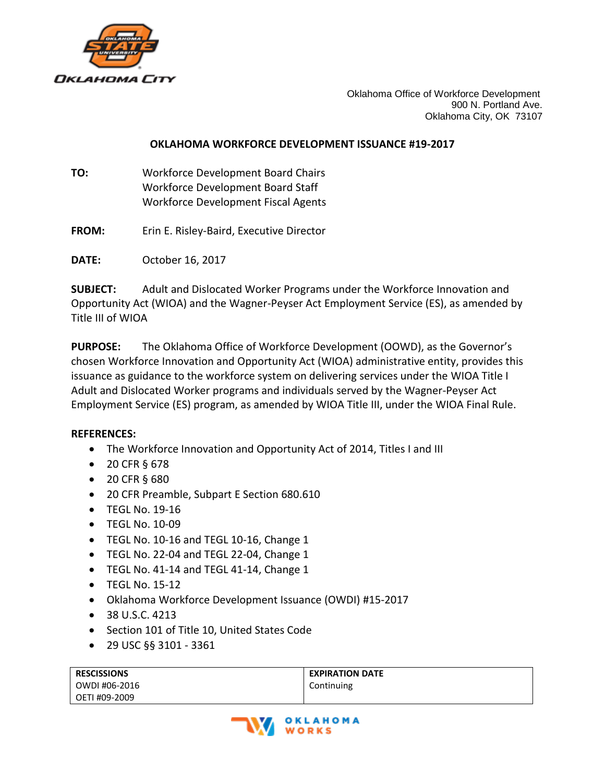

Oklahoma Office of Workforce Development 900 N. Portland Ave. Oklahoma City, OK 73107

### **OKLAHOMA WORKFORCE DEVELOPMENT ISSUANCE #19-2017**

- **TO:** Workforce Development Board Chairs Workforce Development Board Staff Workforce Development Fiscal Agents
- **FROM:** Erin E. Risley-Baird, Executive Director

**DATE:** October 16, 2017

**SUBJECT:** Adult and Dislocated Worker Programs under the Workforce Innovation and Opportunity Act (WIOA) and the Wagner-Peyser Act Employment Service (ES), as amended by Title III of WIOA

**PURPOSE:** The Oklahoma Office of Workforce Development (OOWD), as the Governor's chosen Workforce Innovation and Opportunity Act (WIOA) administrative entity, provides this issuance as guidance to the workforce system on delivering services under the WIOA Title I Adult and Dislocated Worker programs and individuals served by the Wagner-Peyser Act Employment Service (ES) program, as amended by WIOA Title III, under the WIOA Final Rule.

### **REFERENCES:**

- The Workforce Innovation and Opportunity Act of 2014, Titles I and III
- 20 CFR § 678
- 20 CFR § 680
- 20 CFR Preamble, Subpart E Section 680.610
- TEGL No. 19-16
- TEGL No. 10-09
- TEGL No. 10-16 and TEGL 10-16, Change 1
- TEGL No. 22-04 and TEGL 22-04, Change 1
- TEGL No. 41-14 and TEGL 41-14, Change 1
- $\bullet$  TFGL No. 15-12
- Oklahoma Workforce Development Issuance (OWDI) #15-2017
- 38 U.S.C. 4213
- Section 101 of Title 10, United States Code
- 29 USC §§ 3101 3361

| <b>RESCISSIONS</b> | <b>EXPIRATION DATE</b> |
|--------------------|------------------------|
| OWDI #06-2016      | Continuing             |
| l OETI #09-2009    |                        |

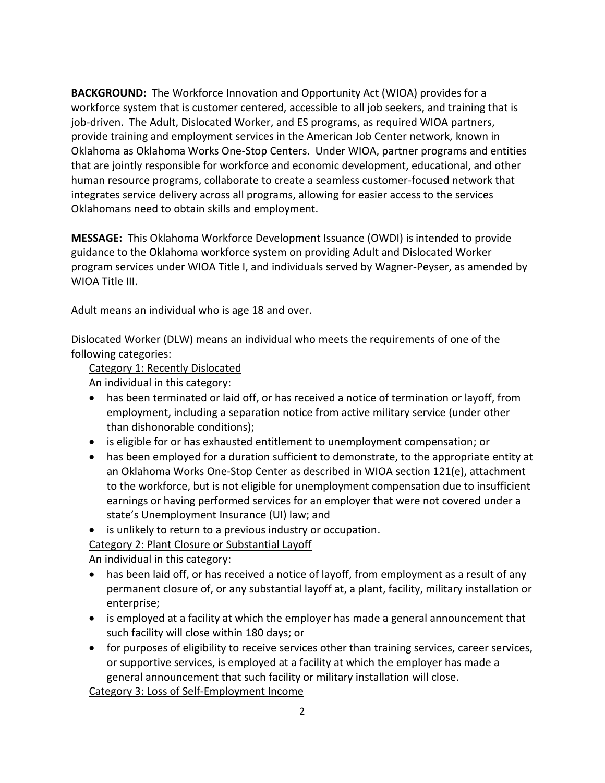**BACKGROUND:** The Workforce Innovation and Opportunity Act (WIOA) provides for a workforce system that is customer centered, accessible to all job seekers, and training that is job-driven. The Adult, Dislocated Worker, and ES programs, as required WIOA partners, provide training and employment services in the American Job Center network, known in Oklahoma as Oklahoma Works One-Stop Centers. Under WIOA, partner programs and entities that are jointly responsible for workforce and economic development, educational, and other human resource programs, collaborate to create a seamless customer-focused network that integrates service delivery across all programs, allowing for easier access to the services Oklahomans need to obtain skills and employment.

**MESSAGE:** This Oklahoma Workforce Development Issuance (OWDI) is intended to provide guidance to the Oklahoma workforce system on providing Adult and Dislocated Worker program services under WIOA Title I, and individuals served by Wagner-Peyser, as amended by WIOA Title III.

Adult means an individual who is age 18 and over.

Dislocated Worker (DLW) means an individual who meets the requirements of one of the following categories:

### Category 1: Recently Dislocated

An individual in this category:

- has been terminated or laid off, or has received a notice of termination or layoff, from employment, including a separation notice from active military service (under other than dishonorable conditions);
- is eligible for or has exhausted entitlement to unemployment compensation; or
- has been employed for a duration sufficient to demonstrate, to the appropriate entity at an Oklahoma Works One-Stop Center as described in WIOA section 121(e), attachment to the workforce, but is not eligible for unemployment compensation due to insufficient earnings or having performed services for an employer that were not covered under a state's Unemployment Insurance (UI) law; and
- is unlikely to return to a previous industry or occupation.

Category 2: Plant Closure or Substantial Layoff

An individual in this category:

- has been laid off, or has received a notice of layoff, from employment as a result of any permanent closure of, or any substantial layoff at, a plant, facility, military installation or enterprise;
- is employed at a facility at which the employer has made a general announcement that such facility will close within 180 days; or
- for purposes of eligibility to receive services other than training services, career services, or supportive services, is employed at a facility at which the employer has made a general announcement that such facility or military installation will close.

Category 3: Loss of Self-Employment Income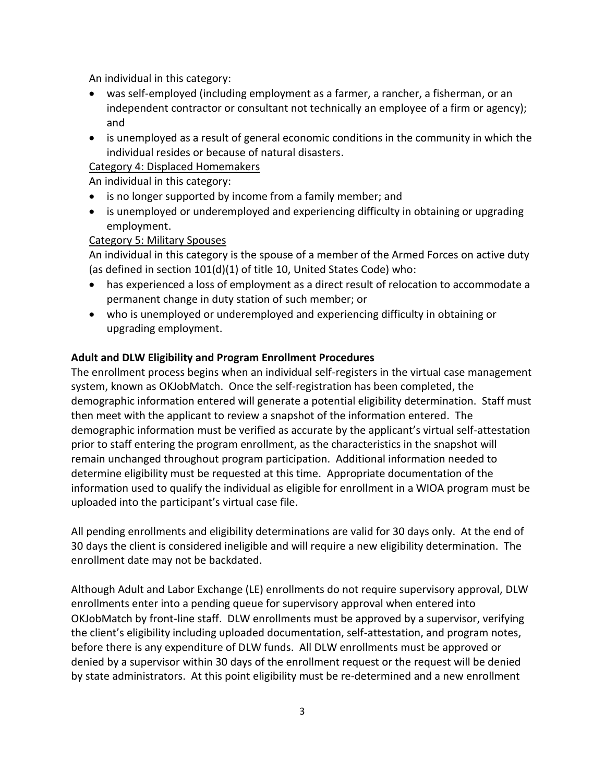An individual in this category:

- was self-employed (including employment as a farmer, a rancher, a fisherman, or an independent contractor or consultant not technically an employee of a firm or agency); and
- is unemployed as a result of general economic conditions in the community in which the individual resides or because of natural disasters.

# Category 4: Displaced Homemakers

An individual in this category:

- is no longer supported by income from a family member; and
- is unemployed or underemployed and experiencing difficulty in obtaining or upgrading employment.

## Category 5: Military Spouses

An individual in this category is the spouse of a member of the Armed Forces on active duty (as defined in section 101(d)(1) of title 10, United States Code) who:

- has experienced a loss of employment as a direct result of relocation to accommodate a permanent change in duty station of such member; or
- who is unemployed or underemployed and experiencing difficulty in obtaining or upgrading employment.

## **Adult and DLW Eligibility and Program Enrollment Procedures**

The enrollment process begins when an individual self-registers in the virtual case management system, known as OKJobMatch. Once the self-registration has been completed, the demographic information entered will generate a potential eligibility determination. Staff must then meet with the applicant to review a snapshot of the information entered. The demographic information must be verified as accurate by the applicant's virtual self-attestation prior to staff entering the program enrollment, as the characteristics in the snapshot will remain unchanged throughout program participation. Additional information needed to determine eligibility must be requested at this time. Appropriate documentation of the information used to qualify the individual as eligible for enrollment in a WIOA program must be uploaded into the participant's virtual case file.

All pending enrollments and eligibility determinations are valid for 30 days only. At the end of 30 days the client is considered ineligible and will require a new eligibility determination. The enrollment date may not be backdated.

Although Adult and Labor Exchange (LE) enrollments do not require supervisory approval, DLW enrollments enter into a pending queue for supervisory approval when entered into OKJobMatch by front-line staff. DLW enrollments must be approved by a supervisor, verifying the client's eligibility including uploaded documentation, self-attestation, and program notes, before there is any expenditure of DLW funds. All DLW enrollments must be approved or denied by a supervisor within 30 days of the enrollment request or the request will be denied by state administrators. At this point eligibility must be re-determined and a new enrollment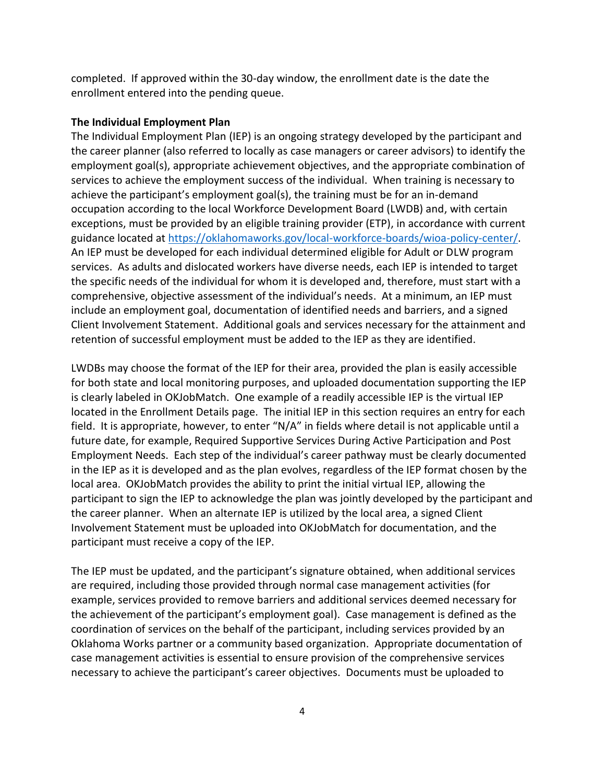completed. If approved within the 30-day window, the enrollment date is the date the enrollment entered into the pending queue.

#### **The Individual Employment Plan**

The Individual Employment Plan (IEP) is an ongoing strategy developed by the participant and the career planner (also referred to locally as case managers or career advisors) to identify the employment goal(s), appropriate achievement objectives, and the appropriate combination of services to achieve the employment success of the individual. When training is necessary to achieve the participant's employment goal(s), the training must be for an in-demand occupation according to the local Workforce Development Board (LWDB) and, with certain exceptions, must be provided by an eligible training provider (ETP), in accordance with current guidance located at [https://oklahomaworks.gov/local-workforce-boards/wioa-policy-center/.](https://oklahomaworks.gov/local-workforce-boards/wioa-policy-center/) An IEP must be developed for each individual determined eligible for Adult or DLW program services. As adults and dislocated workers have diverse needs, each IEP is intended to target the specific needs of the individual for whom it is developed and, therefore, must start with a comprehensive, objective assessment of the individual's needs. At a minimum, an IEP must include an employment goal, documentation of identified needs and barriers, and a signed Client Involvement Statement. Additional goals and services necessary for the attainment and retention of successful employment must be added to the IEP as they are identified.

LWDBs may choose the format of the IEP for their area, provided the plan is easily accessible for both state and local monitoring purposes, and uploaded documentation supporting the IEP is clearly labeled in OKJobMatch. One example of a readily accessible IEP is the virtual IEP located in the Enrollment Details page. The initial IEP in this section requires an entry for each field. It is appropriate, however, to enter "N/A" in fields where detail is not applicable until a future date, for example, Required Supportive Services During Active Participation and Post Employment Needs. Each step of the individual's career pathway must be clearly documented in the IEP as it is developed and as the plan evolves, regardless of the IEP format chosen by the local area. OKJobMatch provides the ability to print the initial virtual IEP, allowing the participant to sign the IEP to acknowledge the plan was jointly developed by the participant and the career planner. When an alternate IEP is utilized by the local area, a signed Client Involvement Statement must be uploaded into OKJobMatch for documentation, and the participant must receive a copy of the IEP.

The IEP must be updated, and the participant's signature obtained, when additional services are required, including those provided through normal case management activities (for example, services provided to remove barriers and additional services deemed necessary for the achievement of the participant's employment goal). Case management is defined as the coordination of services on the behalf of the participant, including services provided by an Oklahoma Works partner or a community based organization. Appropriate documentation of case management activities is essential to ensure provision of the comprehensive services necessary to achieve the participant's career objectives. Documents must be uploaded to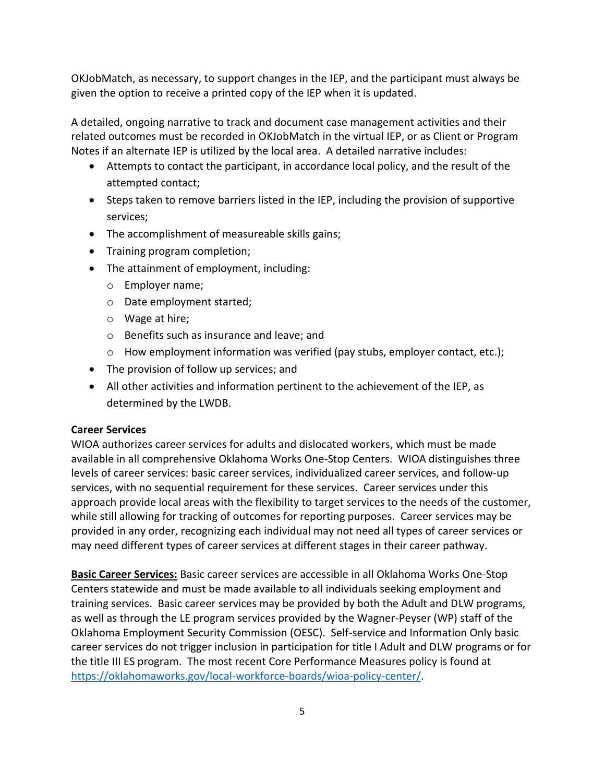OKJobMatch, as necessary, to support changes in the IEP, and the participant must always be given the option to receive a printed copy of the IEP when it is updated.

A detailed, ongoing narrative to track and document case management activities and their related outcomes must be recorded in OKJobMatch in the virtual IEP, or as Client or Program Notes if an alternate IEP is utilized by the local area. A detailed narrative includes:

- Attempts to contact the participant, in accordance local policy, and the result of the attempted contact;
- Steps taken to remove barriers listed in the IEP, including the provision of supportive services;
- The accomplishment of measureable skills gains;
- Training program completion;
- The attainment of employment, including:
	- o Employer name;
	- o Date employment started;
	- o Wage at hire;
	- o Benefits such as insurance and leave; and
	- $\circ$  How employment information was verified (pay stubs, employer contact, etc.);
- The provision of follow up services; and
- All other activities and information pertinent to the achievement of the IEP, as determined by the LWDB.

# **Career Services**

WIOA authorizes career services for adults and dislocated workers, which must be made available in all comprehensive Oklahoma Works One-Stop Centers. WIOA distinguishes three levels of career services: basic career services, individualized career services, and follow-up services, with no sequential requirement for these services. Career services under this approach provide local areas with the flexibility to target services to the needs of the customer, while still allowing for tracking of outcomes for reporting purposes. Career services may be provided in any order, recognizing each individual may not need all types of career services or may need different types of career services at different stages in their career pathway.

**Basic Career Services:** Basic career services are accessible in all Oklahoma Works One-Stop Centers statewide and must be made available to all individuals seeking employment and training services. Basic career services may be provided by both the Adult and DLW programs, as well as through the LE program services provided by the Wagner-Peyser (WP) staff of the Oklahoma Employment Security Commission (OESC). Self-service and Information Only basic career services do not trigger inclusion in participation for title I Adult and DLW programs or for the title III ES program. The most recent Core Performance Measures policy is found at [https://oklahomaworks.gov/local-workforce-boards/wioa-policy-center/.](https://oklahomaworks.gov/local-workforce-boards/wioa-policy-center/)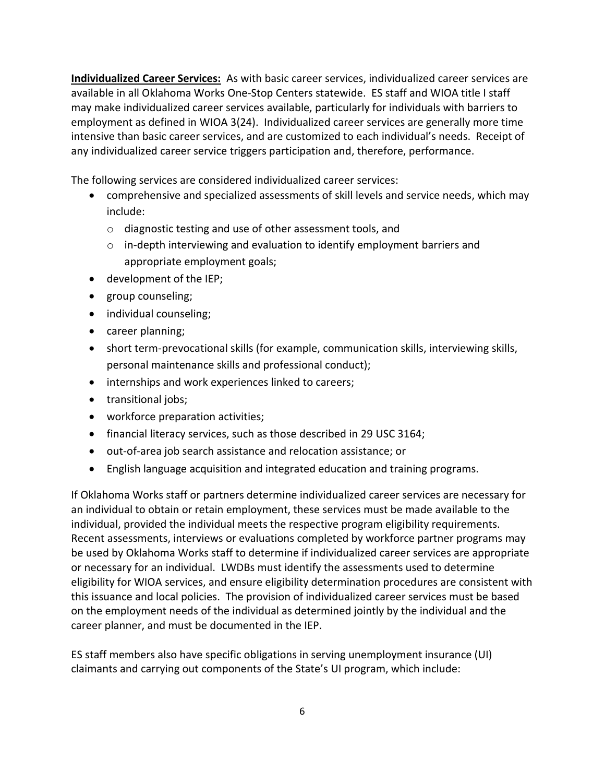**Individualized Career Services:** As with basic career services, individualized career services are available in all Oklahoma Works One-Stop Centers statewide. ES staff and WIOA title I staff may make individualized career services available, particularly for individuals with barriers to employment as defined in WIOA 3(24). Individualized career services are generally more time intensive than basic career services, and are customized to each individual's needs. Receipt of any individualized career service triggers participation and, therefore, performance.

The following services are considered individualized career services:

- comprehensive and specialized assessments of skill levels and service needs, which may include:
	- o diagnostic testing and use of other assessment tools, and
	- $\circ$  in-depth interviewing and evaluation to identify employment barriers and appropriate employment goals;
- development of the IEP;
- group counseling;
- individual counseling;
- career planning;
- short term-prevocational skills (for example, communication skills, interviewing skills, personal maintenance skills and professional conduct);
- internships and work experiences linked to careers;
- transitional jobs;
- workforce preparation activities;
- financial literacy services, such as those described in 29 USC 3164;
- out-of-area job search assistance and relocation assistance; or
- English language acquisition and integrated education and training programs.

If Oklahoma Works staff or partners determine individualized career services are necessary for an individual to obtain or retain employment, these services must be made available to the individual, provided the individual meets the respective program eligibility requirements. Recent assessments, interviews or evaluations completed by workforce partner programs may be used by Oklahoma Works staff to determine if individualized career services are appropriate or necessary for an individual. LWDBs must identify the assessments used to determine eligibility for WIOA services, and ensure eligibility determination procedures are consistent with this issuance and local policies. The provision of individualized career services must be based on the employment needs of the individual as determined jointly by the individual and the career planner, and must be documented in the IEP.

ES staff members also have specific obligations in serving unemployment insurance (UI) claimants and carrying out components of the State's UI program, which include: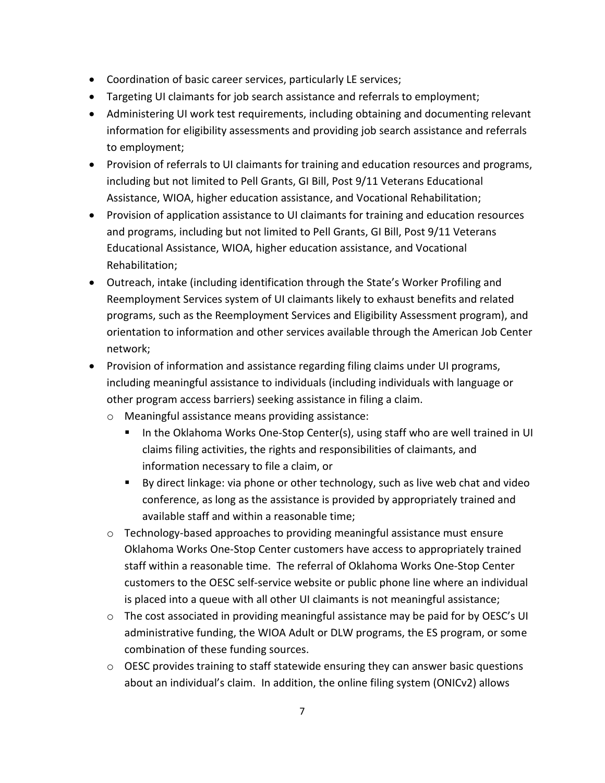- Coordination of basic career services, particularly LE services;
- Targeting UI claimants for job search assistance and referrals to employment;
- Administering UI work test requirements, including obtaining and documenting relevant information for eligibility assessments and providing job search assistance and referrals to employment;
- Provision of referrals to UI claimants for training and education resources and programs, including but not limited to Pell Grants, GI Bill, Post 9/11 Veterans Educational Assistance, WIOA, higher education assistance, and Vocational Rehabilitation;
- Provision of application assistance to UI claimants for training and education resources and programs, including but not limited to Pell Grants, GI Bill, Post 9/11 Veterans Educational Assistance, WIOA, higher education assistance, and Vocational Rehabilitation;
- Outreach, intake (including identification through the State's Worker Profiling and Reemployment Services system of UI claimants likely to exhaust benefits and related programs, such as the Reemployment Services and Eligibility Assessment program), and orientation to information and other services available through the American Job Center network;
- Provision of information and assistance regarding filing claims under UI programs, including meaningful assistance to individuals (including individuals with language or other program access barriers) seeking assistance in filing a claim.
	- o Meaningful assistance means providing assistance:
		- In the Oklahoma Works One-Stop Center(s), using staff who are well trained in UI claims filing activities, the rights and responsibilities of claimants, and information necessary to file a claim, or
		- By direct linkage: via phone or other technology, such as live web chat and video conference, as long as the assistance is provided by appropriately trained and available staff and within a reasonable time;
	- o Technology-based approaches to providing meaningful assistance must ensure Oklahoma Works One-Stop Center customers have access to appropriately trained staff within a reasonable time. The referral of Oklahoma Works One-Stop Center customers to the OESC self-service website or public phone line where an individual is placed into a queue with all other UI claimants is not meaningful assistance;
	- $\circ$  The cost associated in providing meaningful assistance may be paid for by OESC's UI administrative funding, the WIOA Adult or DLW programs, the ES program, or some combination of these funding sources.
	- $\circ$  OESC provides training to staff statewide ensuring they can answer basic questions about an individual's claim. In addition, the online filing system (ONICv2) allows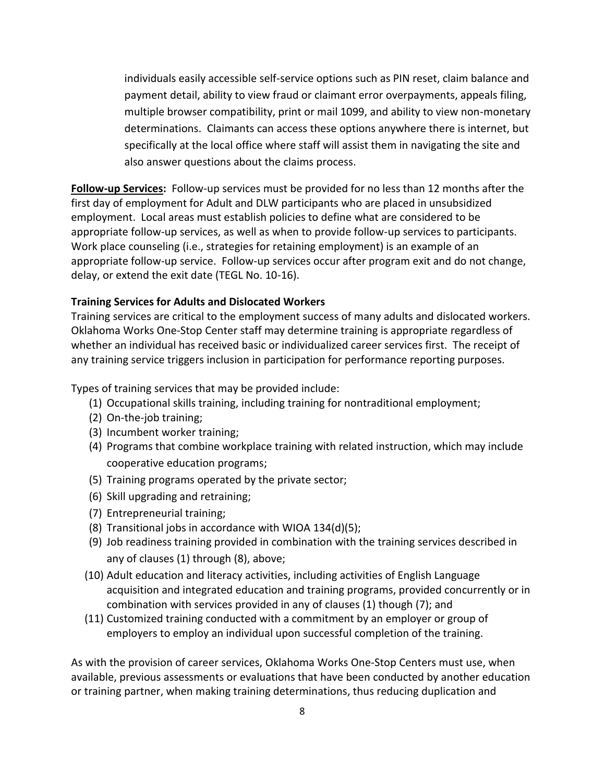individuals easily accessible self-service options such as PIN reset, claim balance and payment detail, ability to view fraud or claimant error overpayments, appeals filing, multiple browser compatibility, print or mail 1099, and ability to view non-monetary determinations. Claimants can access these options anywhere there is internet, but specifically at the local office where staff will assist them in navigating the site and also answer questions about the claims process.

**Follow-up Services:** Follow-up services must be provided for no less than 12 months after the first day of employment for Adult and DLW participants who are placed in unsubsidized employment. Local areas must establish policies to define what are considered to be appropriate follow-up services, as well as when to provide follow-up services to participants. Work place counseling (i.e., strategies for retaining employment) is an example of an appropriate follow-up service. Follow-up services occur after program exit and do not change, delay, or extend the exit date (TEGL No. 10-16).

### **Training Services for Adults and Dislocated Workers**

Training services are critical to the employment success of many adults and dislocated workers. Oklahoma Works One-Stop Center staff may determine training is appropriate regardless of whether an individual has received basic or individualized career services first. The receipt of any training service triggers inclusion in participation for performance reporting purposes.

Types of training services that may be provided include:

- (1) Occupational skills training, including training for nontraditional employment;
- (2) On-the-job training;
- (3) Incumbent worker training;
- (4) Programs that combine workplace training with related instruction, which may include cooperative education programs;
- (5) Training programs operated by the private sector;
- (6) Skill upgrading and retraining;
- (7) Entrepreneurial training;
- (8) Transitional jobs in accordance with WIOA 134(d)(5);
- (9) Job readiness training provided in combination with the training services described in any of clauses (1) through (8), above;
- (10) Adult education and literacy activities, including activities of English Language acquisition and integrated education and training programs, provided concurrently or in combination with services provided in any of clauses (1) though (7); and
- (11) Customized training conducted with a commitment by an employer or group of employers to employ an individual upon successful completion of the training.

As with the provision of career services, Oklahoma Works One-Stop Centers must use, when available, previous assessments or evaluations that have been conducted by another education or training partner, when making training determinations, thus reducing duplication and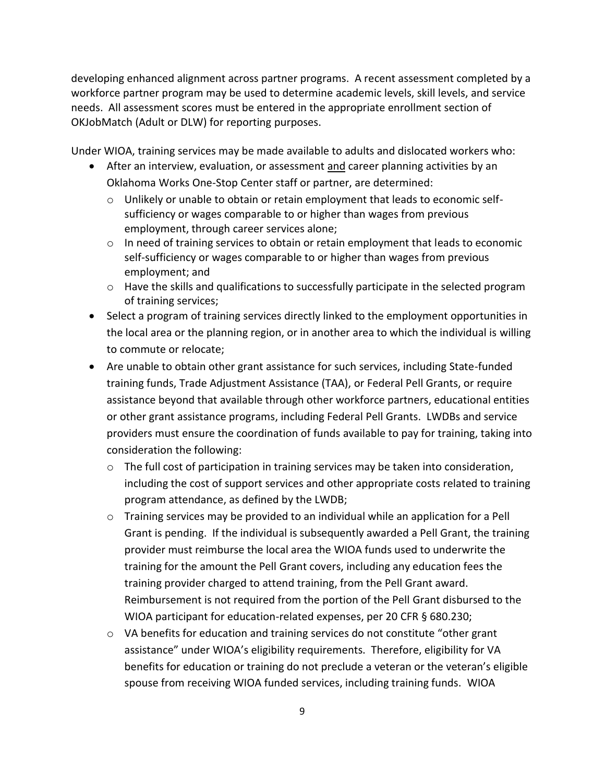developing enhanced alignment across partner programs. A recent assessment completed by a workforce partner program may be used to determine academic levels, skill levels, and service needs. All assessment scores must be entered in the appropriate enrollment section of OKJobMatch (Adult or DLW) for reporting purposes.

Under WIOA, training services may be made available to adults and dislocated workers who:

- After an interview, evaluation, or assessment and career planning activities by an Oklahoma Works One-Stop Center staff or partner, are determined:
	- $\circ$  Unlikely or unable to obtain or retain employment that leads to economic selfsufficiency or wages comparable to or higher than wages from previous employment, through career services alone;
	- $\circ$  In need of training services to obtain or retain employment that leads to economic self-sufficiency or wages comparable to or higher than wages from previous employment; and
	- $\circ$  Have the skills and qualifications to successfully participate in the selected program of training services;
- Select a program of training services directly linked to the employment opportunities in the local area or the planning region, or in another area to which the individual is willing to commute or relocate;
- Are unable to obtain other grant assistance for such services, including State-funded training funds, Trade Adjustment Assistance (TAA), or Federal Pell Grants, or require assistance beyond that available through other workforce partners, educational entities or other grant assistance programs, including Federal Pell Grants. LWDBs and service providers must ensure the coordination of funds available to pay for training, taking into consideration the following:
	- $\circ$  The full cost of participation in training services may be taken into consideration, including the cost of support services and other appropriate costs related to training program attendance, as defined by the LWDB;
	- o Training services may be provided to an individual while an application for a Pell Grant is pending. If the individual is subsequently awarded a Pell Grant, the training provider must reimburse the local area the WIOA funds used to underwrite the training for the amount the Pell Grant covers, including any education fees the training provider charged to attend training, from the Pell Grant award. Reimbursement is not required from the portion of the Pell Grant disbursed to the WIOA participant for education-related expenses, per 20 CFR § 680.230;
	- o VA benefits for education and training services do not constitute "other grant assistance" under WIOA's eligibility requirements. Therefore, eligibility for VA benefits for education or training do not preclude a veteran or the veteran's eligible spouse from receiving WIOA funded services, including training funds. WIOA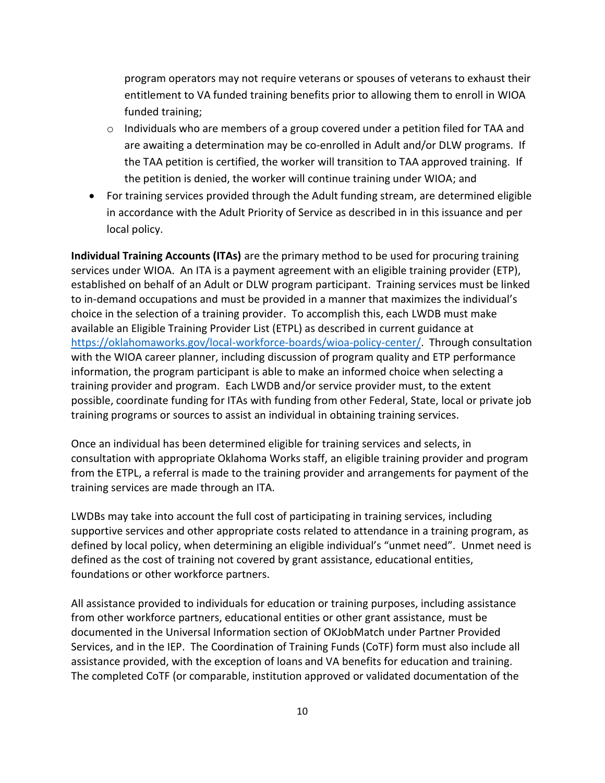program operators may not require veterans or spouses of veterans to exhaust their entitlement to VA funded training benefits prior to allowing them to enroll in WIOA funded training;

- $\circ$  Individuals who are members of a group covered under a petition filed for TAA and are awaiting a determination may be co-enrolled in Adult and/or DLW programs. If the TAA petition is certified, the worker will transition to TAA approved training. If the petition is denied, the worker will continue training under WIOA; and
- For training services provided through the Adult funding stream, are determined eligible in accordance with the Adult Priority of Service as described in in this issuance and per local policy.

**Individual Training Accounts (ITAs)** are the primary method to be used for procuring training services under WIOA. An ITA is a payment agreement with an eligible training provider (ETP), established on behalf of an Adult or DLW program participant. Training services must be linked to in-demand occupations and must be provided in a manner that maximizes the individual's choice in the selection of a training provider. To accomplish this, each LWDB must make available an Eligible Training Provider List (ETPL) as described in current guidance at [https://oklahomaworks.gov/local-workforce-boards/wioa-policy-center/.](https://oklahomaworks.gov/local-workforce-boards/wioa-policy-center/) Through consultation with the WIOA career planner, including discussion of program quality and ETP performance information, the program participant is able to make an informed choice when selecting a training provider and program. Each LWDB and/or service provider must, to the extent possible, coordinate funding for ITAs with funding from other Federal, State, local or private job training programs or sources to assist an individual in obtaining training services.

Once an individual has been determined eligible for training services and selects, in consultation with appropriate Oklahoma Works staff, an eligible training provider and program from the ETPL, a referral is made to the training provider and arrangements for payment of the training services are made through an ITA.

LWDBs may take into account the full cost of participating in training services, including supportive services and other appropriate costs related to attendance in a training program, as defined by local policy, when determining an eligible individual's "unmet need". Unmet need is defined as the cost of training not covered by grant assistance, educational entities, foundations or other workforce partners.

All assistance provided to individuals for education or training purposes, including assistance from other workforce partners, educational entities or other grant assistance, must be documented in the Universal Information section of OKJobMatch under Partner Provided Services, and in the IEP. The Coordination of Training Funds (CoTF) form must also include all assistance provided, with the exception of loans and VA benefits for education and training. The completed CoTF (or comparable, institution approved or validated documentation of the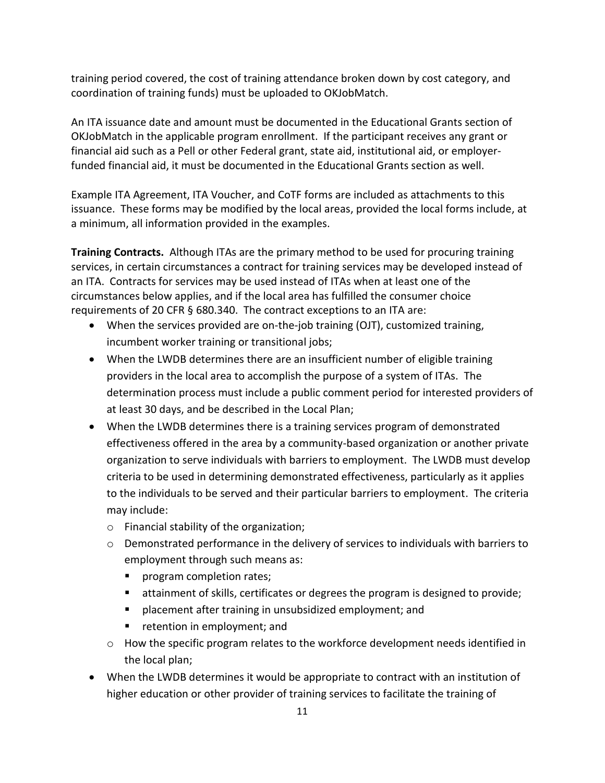training period covered, the cost of training attendance broken down by cost category, and coordination of training funds) must be uploaded to OKJobMatch.

An ITA issuance date and amount must be documented in the Educational Grants section of OKJobMatch in the applicable program enrollment. If the participant receives any grant or financial aid such as a Pell or other Federal grant, state aid, institutional aid, or employerfunded financial aid, it must be documented in the Educational Grants section as well.

Example ITA Agreement, ITA Voucher, and CoTF forms are included as attachments to this issuance. These forms may be modified by the local areas, provided the local forms include, at a minimum, all information provided in the examples.

**Training Contracts.** Although ITAs are the primary method to be used for procuring training services, in certain circumstances a contract for training services may be developed instead of an ITA. Contracts for services may be used instead of ITAs when at least one of the circumstances below applies, and if the local area has fulfilled the consumer choice requirements of 20 CFR § 680.340. The contract exceptions to an ITA are:

- When the services provided are on-the-job training (OJT), customized training, incumbent worker training or transitional jobs;
- When the LWDB determines there are an insufficient number of eligible training providers in the local area to accomplish the purpose of a system of ITAs. The determination process must include a public comment period for interested providers of at least 30 days, and be described in the Local Plan;
- When the LWDB determines there is a training services program of demonstrated effectiveness offered in the area by a community-based organization or another private organization to serve individuals with barriers to employment. The LWDB must develop criteria to be used in determining demonstrated effectiveness, particularly as it applies to the individuals to be served and their particular barriers to employment. The criteria may include:
	- o Financial stability of the organization;
	- o Demonstrated performance in the delivery of services to individuals with barriers to employment through such means as:
		- program completion rates;
		- **EXTER** attainment of skills, certificates or degrees the program is designed to provide;
		- **P** placement after training in unsubsidized employment; and
		- **F** retention in employment; and
	- $\circ$  How the specific program relates to the workforce development needs identified in the local plan;
- When the LWDB determines it would be appropriate to contract with an institution of higher education or other provider of training services to facilitate the training of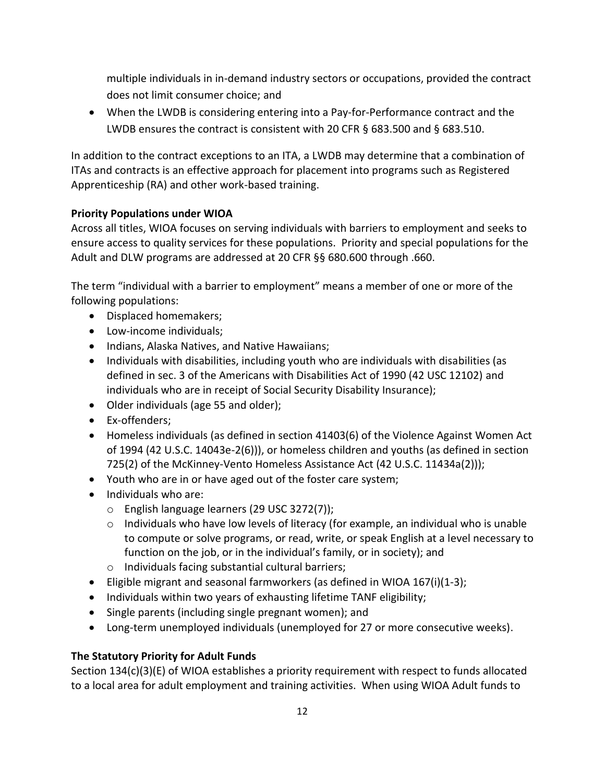multiple individuals in in-demand industry sectors or occupations, provided the contract does not limit consumer choice; and

 When the LWDB is considering entering into a Pay-for-Performance contract and the LWDB ensures the contract is consistent with 20 CFR § 683.500 and § 683.510.

In addition to the contract exceptions to an ITA, a LWDB may determine that a combination of ITAs and contracts is an effective approach for placement into programs such as Registered Apprenticeship (RA) and other work-based training.

# **Priority Populations under WIOA**

Across all titles, WIOA focuses on serving individuals with barriers to employment and seeks to ensure access to quality services for these populations. Priority and special populations for the Adult and DLW programs are addressed at 20 CFR §§ 680.600 through .660.

The term "individual with a barrier to employment" means a member of one or more of the following populations:

- Displaced homemakers;
- Low-income individuals;
- Indians, Alaska Natives, and Native Hawaiians;
- Individuals with disabilities, including youth who are individuals with disabilities (as defined in sec. 3 of the Americans with Disabilities Act of 1990 (42 USC 12102) and individuals who are in receipt of Social Security Disability Insurance);
- Older individuals (age 55 and older);
- Ex-offenders:
- Homeless individuals (as defined in section 41403(6) of the Violence Against Women Act of 1994 (42 U.S.C. 14043e-2(6))), or homeless children and youths (as defined in section 725(2) of the McKinney-Vento Homeless Assistance Act (42 U.S.C. 11434a(2)));
- Youth who are in or have aged out of the foster care system;
- Individuals who are:
	- o English language learners (29 USC 3272(7));
	- $\circ$  Individuals who have low levels of literacy (for example, an individual who is unable to compute or solve programs, or read, write, or speak English at a level necessary to function on the job, or in the individual's family, or in society); and
	- o Individuals facing substantial cultural barriers;
- **Eligible migrant and seasonal farmworkers (as defined in WIOA 167(i)(1-3);**
- Individuals within two years of exhausting lifetime TANF eligibility;
- Single parents (including single pregnant women); and
- Long-term unemployed individuals (unemployed for 27 or more consecutive weeks).

# **The Statutory Priority for Adult Funds**

Section 134(c)(3)(E) of WIOA establishes a priority requirement with respect to funds allocated to a local area for adult employment and training activities. When using WIOA Adult funds to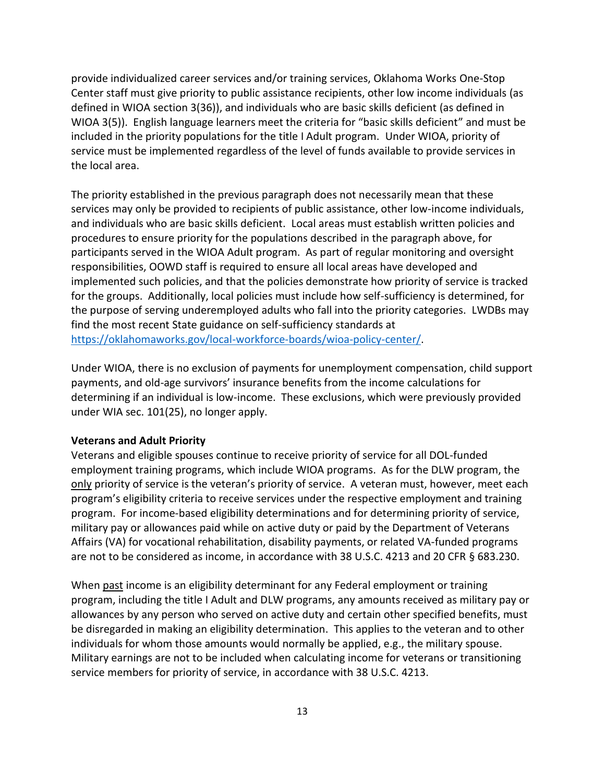provide individualized career services and/or training services, Oklahoma Works One-Stop Center staff must give priority to public assistance recipients, other low income individuals (as defined in WIOA section 3(36)), and individuals who are basic skills deficient (as defined in WIOA 3(5)). English language learners meet the criteria for "basic skills deficient" and must be included in the priority populations for the title I Adult program. Under WIOA, priority of service must be implemented regardless of the level of funds available to provide services in the local area.

The priority established in the previous paragraph does not necessarily mean that these services may only be provided to recipients of public assistance, other low-income individuals, and individuals who are basic skills deficient. Local areas must establish written policies and procedures to ensure priority for the populations described in the paragraph above, for participants served in the WIOA Adult program. As part of regular monitoring and oversight responsibilities, OOWD staff is required to ensure all local areas have developed and implemented such policies, and that the policies demonstrate how priority of service is tracked for the groups. Additionally, local policies must include how self-sufficiency is determined, for the purpose of serving underemployed adults who fall into the priority categories. LWDBs may find the most recent State guidance on self-sufficiency standards at [https://oklahomaworks.gov/local-workforce-boards/wioa-policy-center/.](https://oklahomaworks.gov/local-workforce-boards/wioa-policy-center/)

Under WIOA, there is no exclusion of payments for unemployment compensation, child support payments, and old-age survivors' insurance benefits from the income calculations for determining if an individual is low-income. These exclusions, which were previously provided under WIA sec. 101(25), no longer apply.

#### **Veterans and Adult Priority**

Veterans and eligible spouses continue to receive priority of service for all DOL-funded employment training programs, which include WIOA programs. As for the DLW program, the only priority of service is the veteran's priority of service. A veteran must, however, meet each program's eligibility criteria to receive services under the respective employment and training program. For income-based eligibility determinations and for determining priority of service, military pay or allowances paid while on active duty or paid by the Department of Veterans Affairs (VA) for vocational rehabilitation, disability payments, or related VA-funded programs are not to be considered as income, in accordance with 38 U.S.C. 4213 and 20 CFR § 683.230.

When past income is an eligibility determinant for any Federal employment or training program, including the title I Adult and DLW programs, any amounts received as military pay or allowances by any person who served on active duty and certain other specified benefits, must be disregarded in making an eligibility determination. This applies to the veteran and to other individuals for whom those amounts would normally be applied, e.g., the military spouse. Military earnings are not to be included when calculating income for veterans or transitioning service members for priority of service, in accordance with 38 U.S.C. 4213.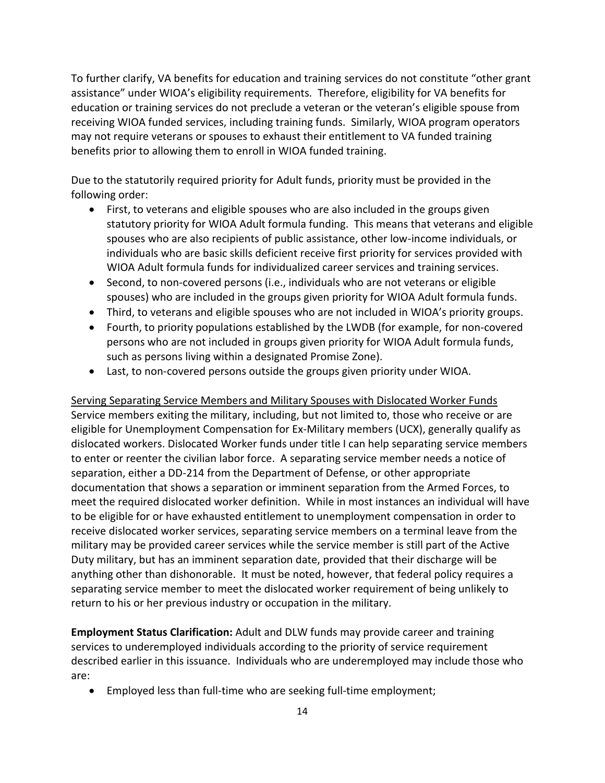To further clarify, VA benefits for education and training services do not constitute "other grant assistance" under WIOA's eligibility requirements. Therefore, eligibility for VA benefits for education or training services do not preclude a veteran or the veteran's eligible spouse from receiving WIOA funded services, including training funds. Similarly, WIOA program operators may not require veterans or spouses to exhaust their entitlement to VA funded training benefits prior to allowing them to enroll in WIOA funded training.

Due to the statutorily required priority for Adult funds, priority must be provided in the following order:

- First, to veterans and eligible spouses who are also included in the groups given statutory priority for WIOA Adult formula funding. This means that veterans and eligible spouses who are also recipients of public assistance, other low-income individuals, or individuals who are basic skills deficient receive first priority for services provided with WIOA Adult formula funds for individualized career services and training services.
- Second, to non-covered persons (i.e., individuals who are not veterans or eligible spouses) who are included in the groups given priority for WIOA Adult formula funds.
- Third, to veterans and eligible spouses who are not included in WIOA's priority groups.
- Fourth, to priority populations established by the LWDB (for example, for non-covered persons who are not included in groups given priority for WIOA Adult formula funds, such as persons living within a designated Promise Zone).
- Last, to non-covered persons outside the groups given priority under WIOA.

Serving Separating Service Members and Military Spouses with Dislocated Worker Funds Service members exiting the military, including, but not limited to, those who receive or are eligible for Unemployment Compensation for Ex-Military members (UCX), generally qualify as dislocated workers. Dislocated Worker funds under title I can help separating service members to enter or reenter the civilian labor force. A separating service member needs a notice of separation, either a DD-214 from the Department of Defense, or other appropriate documentation that shows a separation or imminent separation from the Armed Forces, to meet the required dislocated worker definition. While in most instances an individual will have to be eligible for or have exhausted entitlement to unemployment compensation in order to receive dislocated worker services, separating service members on a terminal leave from the military may be provided career services while the service member is still part of the Active Duty military, but has an imminent separation date, provided that their discharge will be anything other than dishonorable. It must be noted, however, that federal policy requires a separating service member to meet the dislocated worker requirement of being unlikely to return to his or her previous industry or occupation in the military.

**Employment Status Clarification:** Adult and DLW funds may provide career and training services to underemployed individuals according to the priority of service requirement described earlier in this issuance. Individuals who are underemployed may include those who are:

Employed less than full-time who are seeking full-time employment;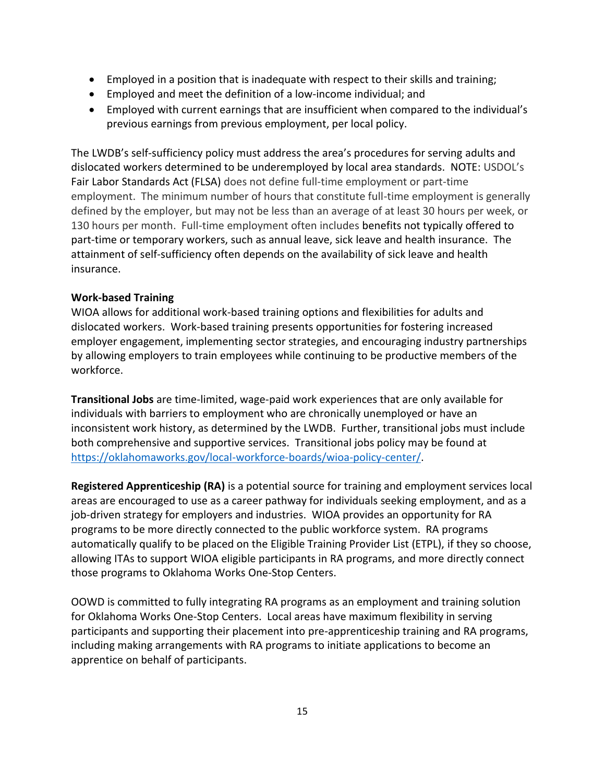- Employed in a position that is inadequate with respect to their skills and training;
- Employed and meet the definition of a low-income individual; and
- Employed with current earnings that are insufficient when compared to the individual's previous earnings from previous employment, per local policy.

The LWDB's self-sufficiency policy must address the area's procedures for serving adults and dislocated workers determined to be underemployed by local area standards. NOTE: USDOL's [Fair Labor Standards Act \(FLSA\)](https://www.dol.gov/whd/flsa/) does not define full-time employment or part-time employment. The minimum number of hours that constitute full-time employment is generally defined by the employer, but may not be less than an average of at least 30 hours per week, or 130 hours per month. Full-time employment often includes benefits not typically offered to part-time or temporary workers, such as annual leave, sick leave and health insurance. The attainment of self-sufficiency often depends on the availability of sick leave and health insurance.

### **Work-based Training**

WIOA allows for additional work-based training options and flexibilities for adults and dislocated workers. Work-based training presents opportunities for fostering increased employer engagement, implementing sector strategies, and encouraging industry partnerships by allowing employers to train employees while continuing to be productive members of the workforce.

**Transitional Jobs** are time-limited, wage-paid work experiences that are only available for individuals with barriers to employment who are chronically unemployed or have an inconsistent work history, as determined by the LWDB. Further, transitional jobs must include both comprehensive and supportive services. Transitional jobs policy may be found at [https://oklahomaworks.gov/local-workforce-boards/wioa-policy-center/.](https://oklahomaworks.gov/local-workforce-boards/wioa-policy-center/)

**Registered Apprenticeship (RA)** is a potential source for training and employment services local areas are encouraged to use as a career pathway for individuals seeking employment, and as a job-driven strategy for employers and industries. WIOA provides an opportunity for RA programs to be more directly connected to the public workforce system. RA programs automatically qualify to be placed on the Eligible Training Provider List (ETPL), if they so choose, allowing ITAs to support WIOA eligible participants in RA programs, and more directly connect those programs to Oklahoma Works One-Stop Centers.

OOWD is committed to fully integrating RA programs as an employment and training solution for Oklahoma Works One-Stop Centers. Local areas have maximum flexibility in serving participants and supporting their placement into pre-apprenticeship training and RA programs, including making arrangements with RA programs to initiate applications to become an apprentice on behalf of participants.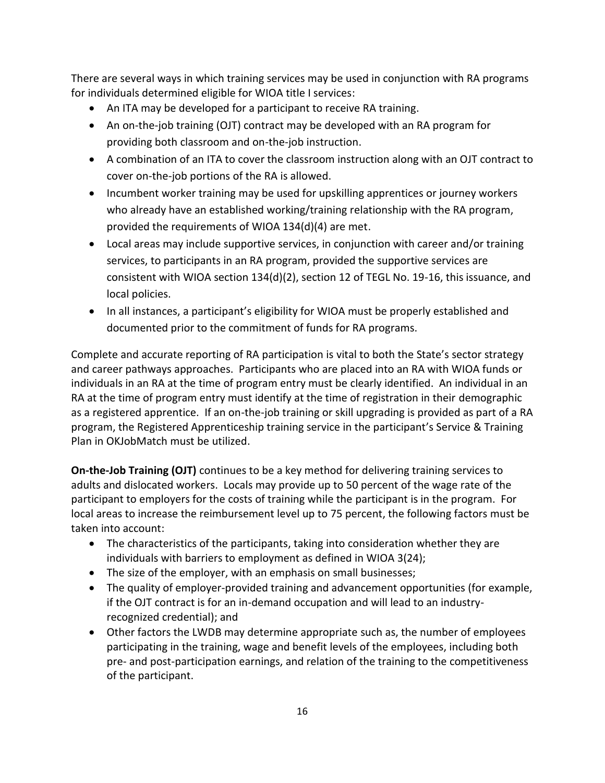There are several ways in which training services may be used in conjunction with RA programs for individuals determined eligible for WIOA title I services:

- An ITA may be developed for a participant to receive RA training.
- An on-the-job training (OJT) contract may be developed with an RA program for providing both classroom and on-the-job instruction.
- A combination of an ITA to cover the classroom instruction along with an OJT contract to cover on-the-job portions of the RA is allowed.
- Incumbent worker training may be used for upskilling apprentices or journey workers who already have an established working/training relationship with the RA program, provided the requirements of WIOA 134(d)(4) are met.
- Local areas may include supportive services, in conjunction with career and/or training services, to participants in an RA program, provided the supportive services are consistent with WIOA section 134(d)(2), section 12 of TEGL No. 19-16, this issuance, and local policies.
- In all instances, a participant's eligibility for WIOA must be properly established and documented prior to the commitment of funds for RA programs.

Complete and accurate reporting of RA participation is vital to both the State's sector strategy and career pathways approaches. Participants who are placed into an RA with WIOA funds or individuals in an RA at the time of program entry must be clearly identified. An individual in an RA at the time of program entry must identify at the time of registration in their demographic as a registered apprentice. If an on-the-job training or skill upgrading is provided as part of a RA program, the Registered Apprenticeship training service in the participant's Service & Training Plan in OKJobMatch must be utilized.

**On-the-Job Training (OJT)** continues to be a key method for delivering training services to adults and dislocated workers. Locals may provide up to 50 percent of the wage rate of the participant to employers for the costs of training while the participant is in the program. For local areas to increase the reimbursement level up to 75 percent, the following factors must be taken into account:

- The characteristics of the participants, taking into consideration whether they are individuals with barriers to employment as defined in WIOA 3(24);
- The size of the employer, with an emphasis on small businesses;
- The quality of employer-provided training and advancement opportunities (for example, if the OJT contract is for an in-demand occupation and will lead to an industryrecognized credential); and
- Other factors the LWDB may determine appropriate such as, the number of employees participating in the training, wage and benefit levels of the employees, including both pre- and post-participation earnings, and relation of the training to the competitiveness of the participant.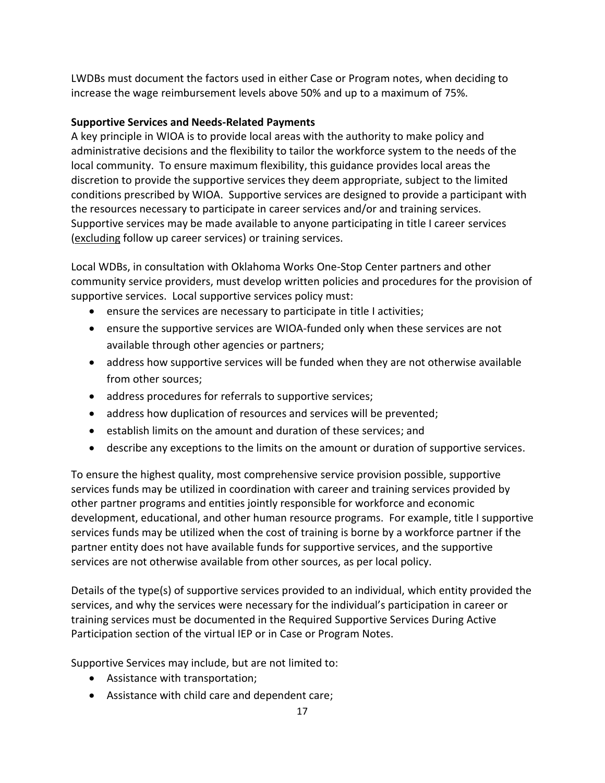LWDBs must document the factors used in either Case or Program notes, when deciding to increase the wage reimbursement levels above 50% and up to a maximum of 75%.

# **Supportive Services and Needs-Related Payments**

A key principle in WIOA is to provide local areas with the authority to make policy and administrative decisions and the flexibility to tailor the workforce system to the needs of the local community. To ensure maximum flexibility, this guidance provides local areas the discretion to provide the supportive services they deem appropriate, subject to the limited conditions prescribed by WIOA. Supportive services are designed to provide a participant with the resources necessary to participate in career services and/or and training services. Supportive services may be made available to anyone participating in title I career services (excluding follow up career services) or training services.

Local WDBs, in consultation with Oklahoma Works One-Stop Center partners and other community service providers, must develop written policies and procedures for the provision of supportive services. Local supportive services policy must:

- ensure the services are necessary to participate in title I activities;
- ensure the supportive services are WIOA-funded only when these services are not available through other agencies or partners;
- address how supportive services will be funded when they are not otherwise available from other sources;
- address procedures for referrals to supportive services;
- address how duplication of resources and services will be prevented;
- establish limits on the amount and duration of these services; and
- describe any exceptions to the limits on the amount or duration of supportive services.

To ensure the highest quality, most comprehensive service provision possible, supportive services funds may be utilized in coordination with career and training services provided by other partner programs and entities jointly responsible for workforce and economic development, educational, and other human resource programs. For example, title I supportive services funds may be utilized when the cost of training is borne by a workforce partner if the partner entity does not have available funds for supportive services, and the supportive services are not otherwise available from other sources, as per local policy.

Details of the type(s) of supportive services provided to an individual, which entity provided the services, and why the services were necessary for the individual's participation in career or training services must be documented in the Required Supportive Services During Active Participation section of the virtual IEP or in Case or Program Notes.

Supportive Services may include, but are not limited to:

- Assistance with transportation;
- Assistance with child care and dependent care;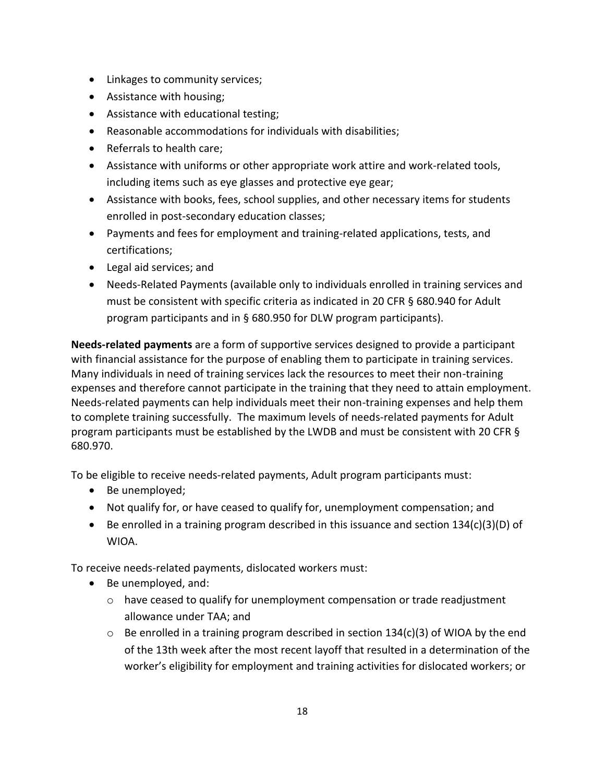- Linkages to community services;
- Assistance with housing;
- Assistance with educational testing;
- Reasonable accommodations for individuals with disabilities;
- Referrals to health care:
- Assistance with uniforms or other appropriate work attire and work-related tools, including items such as eye glasses and protective eye gear;
- Assistance with books, fees, school supplies, and other necessary items for students enrolled in post-secondary education classes;
- Payments and fees for employment and training-related applications, tests, and certifications;
- Legal aid services; and
- Needs-Related Payments (available only to individuals enrolled in training services and must be consistent with specific criteria as indicated in 20 CFR § 680.940 for Adult program participants and in § 680.950 for DLW program participants).

**Needs-related payments** are a form of supportive services designed to provide a participant with financial assistance for the purpose of enabling them to participate in training services. Many individuals in need of training services lack the resources to meet their non-training expenses and therefore cannot participate in the training that they need to attain employment. Needs-related payments can help individuals meet their non-training expenses and help them to complete training successfully. The maximum levels of needs-related payments for Adult program participants must be established by the LWDB and must be consistent with 20 CFR § 680.970.

To be eligible to receive needs-related payments, Adult program participants must:

- Be unemployed;
- Not qualify for, or have ceased to qualify for, unemployment compensation; and
- **Be enrolled in a training program described in this issuance and section 134(c)(3)(D) of** WIOA.

To receive needs-related payments, dislocated workers must:

- Be unemployed, and:
	- $\circ$  have ceased to qualify for unemployment compensation or trade readjustment allowance under TAA; and
	- $\circ$  Be enrolled in a training program described in section 134(c)(3) of WIOA by the end of the 13th week after the most recent layoff that resulted in a determination of the worker's eligibility for employment and training activities for dislocated workers; or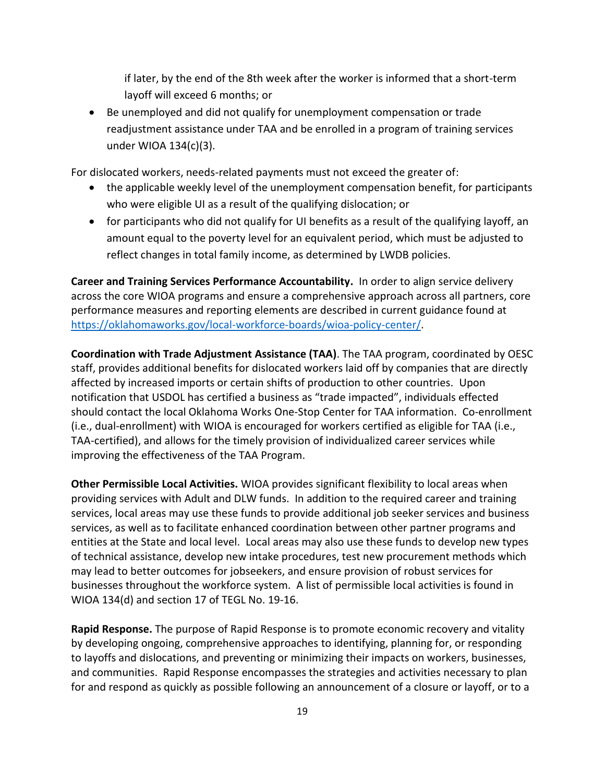if later, by the end of the 8th week after the worker is informed that a short-term layoff will exceed 6 months; or

 Be unemployed and did not qualify for unemployment compensation or trade readjustment assistance under TAA and be enrolled in a program of training services under WIOA 134(c)(3).

For dislocated workers, needs-related payments must not exceed the greater of:

- the applicable weekly level of the unemployment compensation benefit, for participants who were eligible UI as a result of the qualifying dislocation; or
- for participants who did not qualify for UI benefits as a result of the qualifying layoff, an amount equal to the poverty level for an equivalent period, which must be adjusted to reflect changes in total family income, as determined by LWDB policies.

**Career and Training Services Performance Accountability.** In order to align service delivery across the core WIOA programs and ensure a comprehensive approach across all partners, core performance measures and reporting elements are described in current guidance found at [https://oklahomaworks.gov/local-workforce-boards/wioa-policy-center/.](https://oklahomaworks.gov/local-workforce-boards/wioa-policy-center/)

**Coordination with Trade Adjustment Assistance (TAA)**. The TAA program, coordinated by OESC staff, provides additional benefits for dislocated workers laid off by companies that are directly affected by increased imports or certain shifts of production to other countries. Upon notification that USDOL has certified a business as "trade impacted", individuals effected should contact the local Oklahoma Works One-Stop Center for TAA information. Co-enrollment (i.e., dual-enrollment) with WIOA is encouraged for workers certified as eligible for TAA (i.e., TAA-certified), and allows for the timely provision of individualized career services while improving the effectiveness of the TAA Program.

**Other Permissible Local Activities.** WIOA provides significant flexibility to local areas when providing services with Adult and DLW funds. In addition to the required career and training services, local areas may use these funds to provide additional job seeker services and business services, as well as to facilitate enhanced coordination between other partner programs and entities at the State and local level. Local areas may also use these funds to develop new types of technical assistance, develop new intake procedures, test new procurement methods which may lead to better outcomes for jobseekers, and ensure provision of robust services for businesses throughout the workforce system. A list of permissible local activities is found in WIOA 134(d) and section 17 of TEGL No. 19-16.

**Rapid Response.** The purpose of Rapid Response is to promote economic recovery and vitality by developing ongoing, comprehensive approaches to identifying, planning for, or responding to layoffs and dislocations, and preventing or minimizing their impacts on workers, businesses, and communities. Rapid Response encompasses the strategies and activities necessary to plan for and respond as quickly as possible following an announcement of a closure or layoff, or to a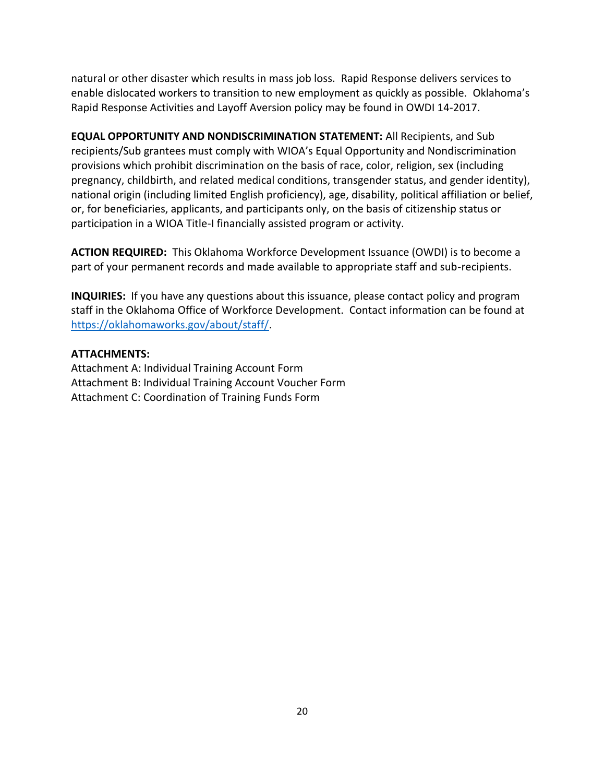natural or other disaster which results in mass job loss. Rapid Response delivers services to enable dislocated workers to transition to new employment as quickly as possible. Oklahoma's Rapid Response Activities and Layoff Aversion policy may be found in OWDI 14-2017.

**EQUAL OPPORTUNITY AND NONDISCRIMINATION STATEMENT:** All Recipients, and Sub recipients/Sub grantees must comply with WIOA's Equal Opportunity and Nondiscrimination provisions which prohibit discrimination on the basis of race, color, religion, sex (including pregnancy, childbirth, and related medical conditions, transgender status, and gender identity), national origin (including limited English proficiency), age, disability, political affiliation or belief, or, for beneficiaries, applicants, and participants only, on the basis of citizenship status or participation in a WIOA Title-I financially assisted program or activity.

**ACTION REQUIRED:** This Oklahoma Workforce Development Issuance (OWDI) is to become a part of your permanent records and made available to appropriate staff and sub-recipients.

**INQUIRIES:** If you have any questions about this issuance, please contact policy and program staff in the Oklahoma Office of Workforce Development. Contact information can be found at [https://oklahomaworks.gov/about/staff/.](https://oklahomaworks.gov/about/staff/)

### **ATTACHMENTS:**

Attachment A: Individual Training Account Form Attachment B: Individual Training Account Voucher Form Attachment C: Coordination of Training Funds Form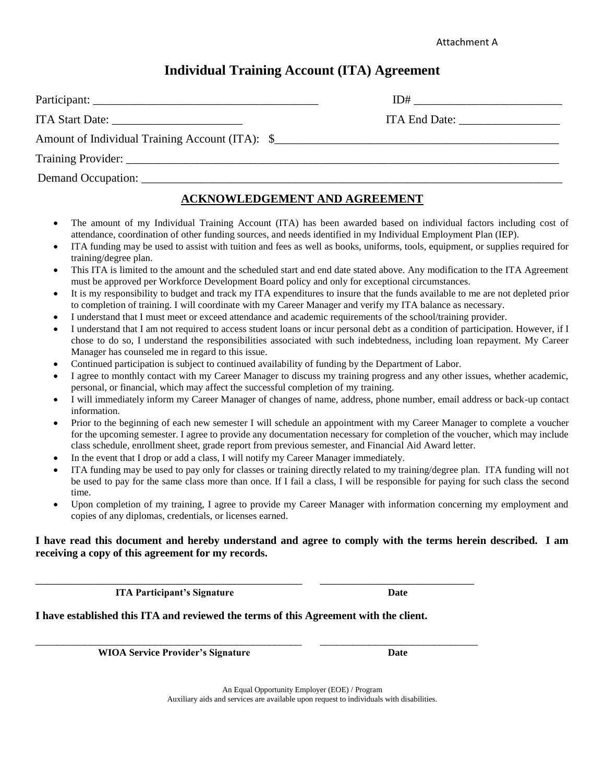# **Individual Training Account (ITA) Agreement**

|                                       | $ID#$ and $I$ |
|---------------------------------------|---------------|
|                                       | ITA End Date: |
|                                       |               |
|                                       |               |
| Demand Occupation: Demand Occupation: |               |
|                                       |               |

# **ACKNOWLEDGEMENT AND AGREEMENT**

- The amount of my Individual Training Account (ITA) has been awarded based on individual factors including cost of attendance, coordination of other funding sources, and needs identified in my Individual Employment Plan (IEP).
- ITA funding may be used to assist with tuition and fees as well as books, uniforms, tools, equipment, or supplies required for training/degree plan.
- This ITA is limited to the amount and the scheduled start and end date stated above. Any modification to the ITA Agreement must be approved per Workforce Development Board policy and only for exceptional circumstances.
- It is my responsibility to budget and track my ITA expenditures to insure that the funds available to me are not depleted prior to completion of training. I will coordinate with my Career Manager and verify my ITA balance as necessary.
- I understand that I must meet or exceed attendance and academic requirements of the school/training provider.
- I understand that I am not required to access student loans or incur personal debt as a condition of participation. However, if I chose to do so, I understand the responsibilities associated with such indebtedness, including loan repayment. My Career Manager has counseled me in regard to this issue.
- Continued participation is subject to continued availability of funding by the Department of Labor.
- I agree to monthly contact with my Career Manager to discuss my training progress and any other issues, whether academic, personal, or financial, which may affect the successful completion of my training.
- I will immediately inform my Career Manager of changes of name, address, phone number, email address or back-up contact information.
- Prior to the beginning of each new semester I will schedule an appointment with my Career Manager to complete a voucher for the upcoming semester. I agree to provide any documentation necessary for completion of the voucher, which may include class schedule, enrollment sheet, grade report from previous semester, and Financial Aid Award letter.
- In the event that I drop or add a class, I will notify my Career Manager immediately.
- ITA funding may be used to pay only for classes or training directly related to my training/degree plan. ITA funding will not be used to pay for the same class more than once. If I fail a class, I will be responsible for paying for such class the second time.
- Upon completion of my training, I agree to provide my Career Manager with information concerning my employment and copies of any diplomas, credentials, or licenses earned.

#### **I have read this document and hereby understand and agree to comply with the terms herein described. I am receiving a copy of this agreement for my records.**

*ITA Participant's Signature* Date

**I have established this ITA and reviewed the terms of this Agreement with the client.**

\_\_\_\_\_\_\_\_\_\_\_\_\_\_\_\_\_\_\_\_\_\_\_\_\_\_\_\_\_\_\_\_\_\_\_\_\_\_\_\_\_\_\_\_\_ \_\_\_\_\_\_\_\_\_\_\_\_\_\_\_\_\_\_\_\_\_\_\_\_\_\_

\_\_\_\_\_\_\_\_\_\_\_\_\_\_\_\_\_\_\_\_\_\_\_\_\_\_\_\_\_\_\_\_\_\_\_\_\_\_\_\_\_\_\_\_\_\_\_\_\_ \_\_\_\_\_\_\_\_\_\_\_\_\_\_\_\_\_\_\_\_\_\_\_\_\_\_\_\_\_

**WIOA Service Provider's Signature Date**

An Equal Opportunity Employer (EOE) / Program Auxiliary aids and services are available upon request to individuals with disabilities.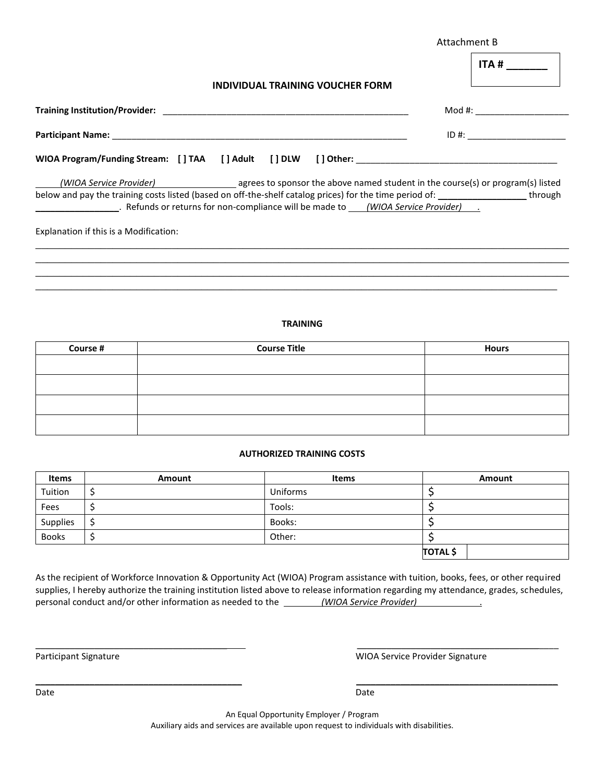|                                                                                                                                                                                                                                                 | Attachment B                                                                                                                                                                                                                                                                                                                                                                                                                                                                                                                                           |  |  |
|-------------------------------------------------------------------------------------------------------------------------------------------------------------------------------------------------------------------------------------------------|--------------------------------------------------------------------------------------------------------------------------------------------------------------------------------------------------------------------------------------------------------------------------------------------------------------------------------------------------------------------------------------------------------------------------------------------------------------------------------------------------------------------------------------------------------|--|--|
| INDIVIDUAL TRAINING VOUCHER FORM                                                                                                                                                                                                                | ITA #                                                                                                                                                                                                                                                                                                                                                                                                                                                                                                                                                  |  |  |
|                                                                                                                                                                                                                                                 | $\mathsf{Mod} \; \# \mathsf{:} \; \underline{\hspace{2cm}} \; \underline{\hspace{2cm}} \; \underline{\hspace{2cm}} \; \underline{\hspace{2cm}} \; \underline{\hspace{2cm}} \; \underline{\hspace{2cm}} \; \; \underline{\hspace{2cm}} \; \; \underline{\hspace{2cm}} \; \; \underline{\hspace{2cm}} \; \; \underline{\hspace{2cm}} \; \; \underline{\hspace{2cm}} \; \; \underline{\hspace{2cm}} \; \; \underline{\hspace{2cm}} \; \; \underline{\hspace{2cm}} \; \; \underline{\hspace{2cm}} \; \; \underline{\hspace{2cm}} \; \; \underline{\hspace$ |  |  |
|                                                                                                                                                                                                                                                 | $ID \#$ :                                                                                                                                                                                                                                                                                                                                                                                                                                                                                                                                              |  |  |
|                                                                                                                                                                                                                                                 |                                                                                                                                                                                                                                                                                                                                                                                                                                                                                                                                                        |  |  |
| (WIOA Service Provider) agrees to sponsor the above named student in the course(s) or program(s) listed<br>below and pay the training costs listed (based on off-the-shelf catalog prices) for the time period of: _____________________through |                                                                                                                                                                                                                                                                                                                                                                                                                                                                                                                                                        |  |  |
| Explanation if this is a Modification:                                                                                                                                                                                                          |                                                                                                                                                                                                                                                                                                                                                                                                                                                                                                                                                        |  |  |
|                                                                                                                                                                                                                                                 |                                                                                                                                                                                                                                                                                                                                                                                                                                                                                                                                                        |  |  |
|                                                                                                                                                                                                                                                 |                                                                                                                                                                                                                                                                                                                                                                                                                                                                                                                                                        |  |  |
|                                                                                                                                                                                                                                                 |                                                                                                                                                                                                                                                                                                                                                                                                                                                                                                                                                        |  |  |

#### **TRAINING**

| Course # | <b>Course Title</b> | <b>Hours</b> |  |
|----------|---------------------|--------------|--|
|          |                     |              |  |
|          |                     |              |  |
|          |                     |              |  |
|          |                     |              |  |

#### **AUTHORIZED TRAINING COSTS**

| <b>Items</b> | Amount | <b>Items</b> | Amount          |
|--------------|--------|--------------|-----------------|
| Tuition      |        | Uniforms     |                 |
| Fees         |        | Tools:       |                 |
| Supplies     |        | Books:       |                 |
| <b>Books</b> |        | Other:       |                 |
|              |        |              | <b>TOTAL</b> \$ |

As the recipient of Workforce Innovation & Opportunity Act (WIOA) Program assistance with tuition, books, fees, or other required supplies, I hereby authorize the training institution listed above to release information regarding my attendance, grades, schedules, personal conduct and/or other information as needed to the *(WIOA Service Provider)* ............................

\_\_\_\_\_\_\_\_\_\_\_\_\_\_\_\_\_\_\_\_\_\_\_\_\_\_\_\_\_\_\_\_\_\_\_\_\_\_\_ \_\_\_\_\_\_\_\_\_\_\_\_\_\_\_\_\_\_\_\_\_\_\_\_\_\_\_\_\_\_\_\_\_\_\_\_\_\_\_\_\_

\_\_\_\_\_\_\_\_\_\_\_\_\_\_\_\_\_\_\_\_\_\_\_\_\_\_\_\_\_\_\_\_\_\_\_\_\_\_\_\_\_\_ \_\_\_\_\_\_\_\_\_\_\_\_\_\_\_\_\_\_\_\_\_\_\_\_\_\_\_\_\_\_\_\_\_\_\_\_\_\_\_\_\_

Participant Signature **National Signature Signature** WIOA Service Provider Signature

An Equal Opportunity Employer / Program Auxiliary aids and services are available upon request to individuals with disabilities.

Date **Date Date Date Date Date Date Date Date Date Date Date**